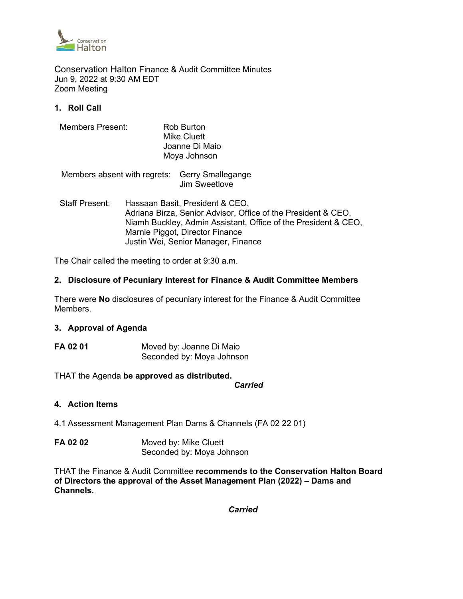

Conservation Halton [Finance & Audit Committee](https://app.onboardmeetings.com/702f0d1fcefa4bc883f9e2783b5f0fa3-1201/meetingDetail/4073bef451bc4cc29478085aa348aaa6-1201) Minutes Jun 9, 2022 at 9:30 AM EDT Zoom Meeting

# **1. Roll Call**

| <b>Members Present:</b> | Rob Burton<br>Mike Cluett<br>Joanne Di Maio<br>Moya Johnson                                                                                                                                           |
|-------------------------|-------------------------------------------------------------------------------------------------------------------------------------------------------------------------------------------------------|
|                         | Members absent with regrets: Gerry Smallegange<br>Jim Sweetlove                                                                                                                                       |
| <b>Staff Present:</b>   | Hassaan Basit, President & CEO,<br>Adriana Birza, Senior Advisor, Office of the President & CEO,<br>Niamh Buckley, Admin Assistant, Office of the President & CEO,<br>Marnie Piggot, Director Finance |

The Chair called the meeting to order at 9:30 a.m.

## **2. Disclosure of Pecuniary Interest for Finance & Audit Committee Members**

Justin Wei, Senior Manager, Finance

There were **No** disclosures of pecuniary interest for the Finance & Audit Committee Members.

#### **3. Approval of Agenda**

**FA 02 01** Moved by: Joanne Di Maio Seconded by: Moya Johnson

THAT the Agenda **be approved as distributed.**

*Carried*

## **4. Action Items**

- 4.1 Assessment Management Plan Dams & Channels (FA 02 22 01)
- **FA 02 02** Moved by: Mike Cluett Seconded by: Moya Johnson

THAT the Finance & Audit Committee **recommends to the Conservation Halton Board of Directors the approval of the Asset Management Plan (2022) – Dams and Channels.**

*Carried*